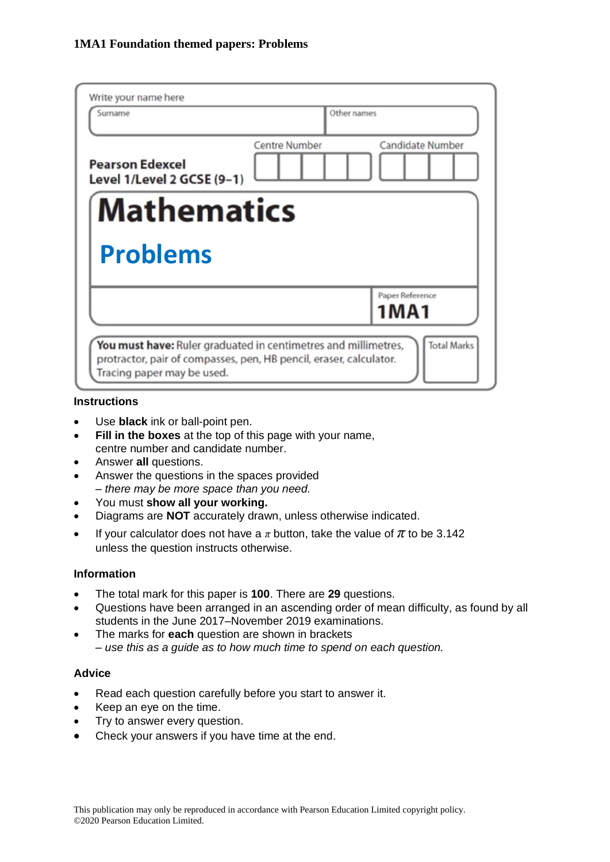| Write your name here<br>Surname                      | Other names                              |
|------------------------------------------------------|------------------------------------------|
| <b>Pearson Edexcel</b><br>Level 1/Level 2 GCSE (9-1) | Candidate Number<br><b>Centre Number</b> |
| <b>Mathematics</b>                                   |                                          |
|                                                      |                                          |
| <b>Problems</b>                                      |                                          |
|                                                      | Paper Reference<br>1MA1                  |

#### **Instructions**

- Use **black** ink or ball-point pen.
- **Fill in the boxes** at the top of this page with your name, centre number and candidate number.
- Answer **all** questions.
- Answer the questions in the spaces provided *– there may be more space than you need.*
- You must **show all your working.**
- Diagrams are **NOT** accurately drawn, unless otherwise indicated.
- If your calculator does not have a  $\pi$  button, take the value of  $\pi$  to be 3.142 unless the question instructs otherwise.

#### **Information**

- The total mark for this paper is **100**. There are **29** questions.
- Questions have been arranged in an ascending order of mean difficulty, as found by all students in the June 2017–November 2019 examinations.
- The marks for **each** question are shown in brackets *– use this as a guide as to how much time to spend on each question.*

#### **Advice**

- Read each question carefully before you start to answer it.
- Keep an eye on the time.
- Try to answer every question.
- Check your answers if you have time at the end.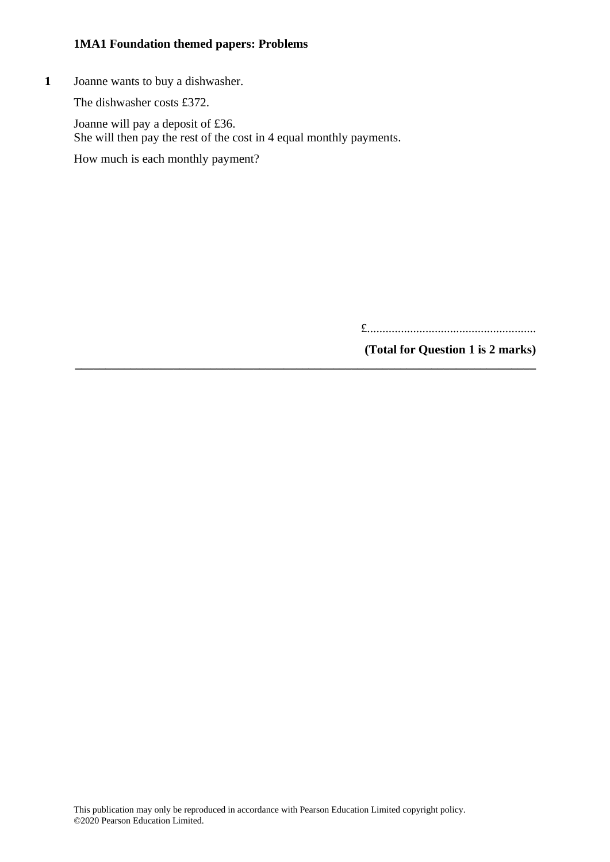**1** Joanne wants to buy a dishwasher.

The dishwasher costs £372.

Joanne will pay a deposit of £36. She will then pay the rest of the cost in 4 equal monthly payments. How much is each monthly payment?

**\_\_\_\_\_\_\_\_\_\_\_\_\_\_\_\_\_\_\_\_\_\_\_\_\_\_\_\_\_\_\_\_\_\_\_\_\_\_\_\_\_\_\_\_\_\_\_\_\_\_\_\_\_\_\_\_\_\_\_\_\_\_\_\_\_\_\_\_\_\_\_\_\_\_\_**

£.......................................................

**(Total for Question 1 is 2 marks)**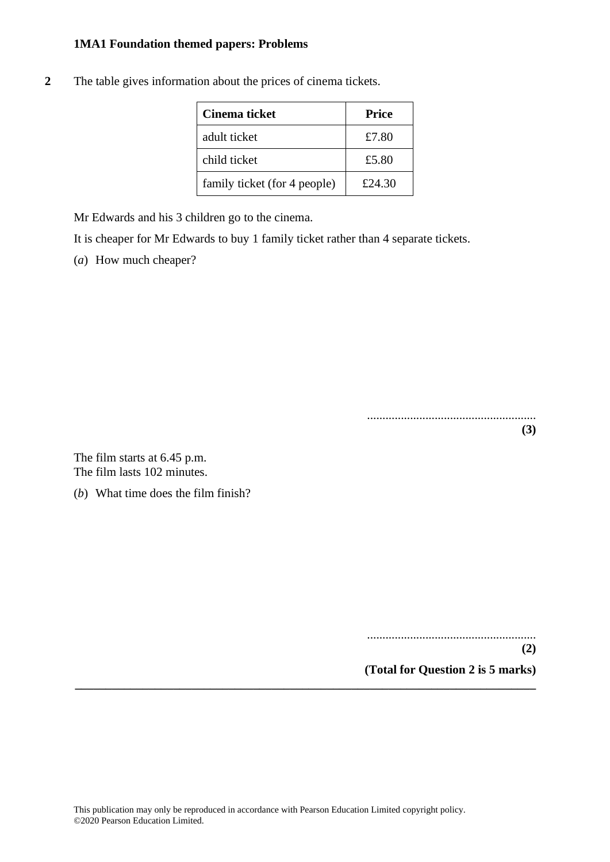**2** The table gives information about the prices of cinema tickets.

| Cinema ticket                | <b>Price</b> |
|------------------------------|--------------|
| adult ticket                 | £7.80        |
| child ticket                 | £5.80        |
| family ticket (for 4 people) | £24.30       |

Mr Edwards and his 3 children go to the cinema.

It is cheaper for Mr Edwards to buy 1 family ticket rather than 4 separate tickets.

(*a*) How much cheaper?

....................................................... **(3)**

The film starts at 6.45 p.m. The film lasts 102 minutes.

(*b*) What time does the film finish?

....................................................... **(2)**

**(Total for Question 2 is 5 marks) \_\_\_\_\_\_\_\_\_\_\_\_\_\_\_\_\_\_\_\_\_\_\_\_\_\_\_\_\_\_\_\_\_\_\_\_\_\_\_\_\_\_\_\_\_\_\_\_\_\_\_\_\_\_\_\_\_\_\_\_\_\_\_\_\_\_\_\_\_\_\_\_\_\_\_**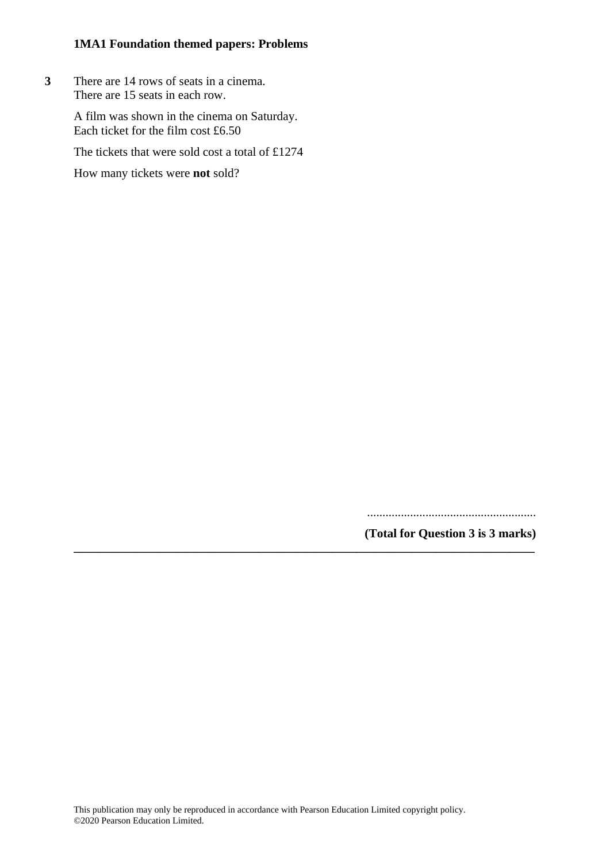**3** There are 14 rows of seats in a cinema. There are 15 seats in each row.

> A film was shown in the cinema on Saturday. Each ticket for the film cost £6.50

The tickets that were sold cost a total of £1274

How many tickets were **not** sold?

.......................................................

**(Total for Question 3 is 3 marks) \_\_\_\_\_\_\_\_\_\_\_\_\_\_\_\_\_\_\_\_\_\_\_\_\_\_\_\_\_\_\_\_\_\_\_\_\_\_\_\_\_\_\_\_\_\_\_\_\_\_\_\_\_\_\_\_\_\_\_\_\_\_\_\_\_\_\_\_\_\_\_\_\_\_\_**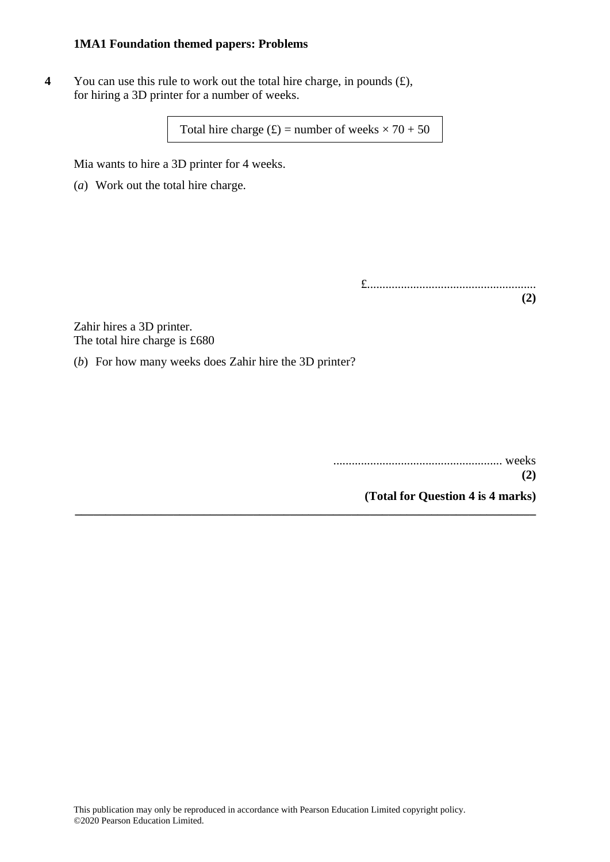**4** You can use this rule to work out the total hire charge, in pounds  $(f)$ , for hiring a 3D printer for a number of weeks.

Total hire charge  $(f)$  = number of weeks  $\times$  70 + 50

**\_\_\_\_\_\_\_\_\_\_\_\_\_\_\_\_\_\_\_\_\_\_\_\_\_\_\_\_\_\_\_\_\_\_\_\_\_\_\_\_\_\_\_\_\_\_\_\_\_\_\_\_\_\_\_\_\_\_\_\_\_\_\_\_\_\_\_\_\_\_\_\_\_\_\_**

Mia wants to hire a 3D printer for 4 weeks.

(*a*) Work out the total hire charge.

£....................................................... **(2)**

Zahir hires a 3D printer. The total hire charge is £680

(*b*) For how many weeks does Zahir hire the 3D printer?

....................................................... weeks **(2)**

**(Total for Question 4 is 4 marks)**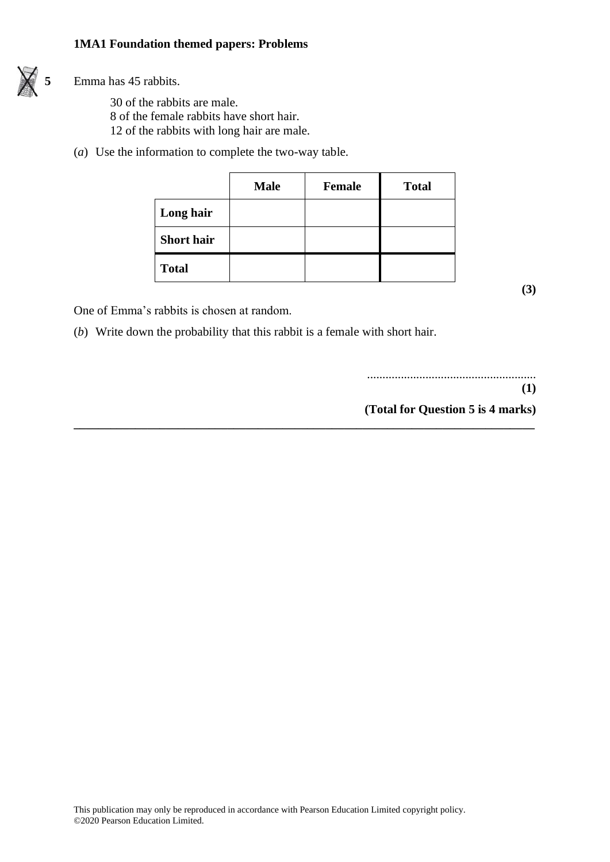

 $\overrightarrow{5}$  Emma has 45 rabbits.

30 of the rabbits are male. 8 of the female rabbits have short hair. 12 of the rabbits with long hair are male.

(*a*) Use the information to complete the two-way table.

|                   | <b>Male</b> | <b>Female</b> | <b>Total</b> |
|-------------------|-------------|---------------|--------------|
| Long hair         |             |               |              |
| <b>Short hair</b> |             |               |              |
| <b>Total</b>      |             |               |              |

**\_\_\_\_\_\_\_\_\_\_\_\_\_\_\_\_\_\_\_\_\_\_\_\_\_\_\_\_\_\_\_\_\_\_\_\_\_\_\_\_\_\_\_\_\_\_\_\_\_\_\_\_\_\_\_\_\_\_\_\_\_\_\_\_\_\_\_\_\_\_\_\_\_\_\_**

**(3)**

One of Emma's rabbits is chosen at random.

(*b*) Write down the probability that this rabbit is a female with short hair.

....................................................... **(1) (Total for Question 5 is 4 marks)**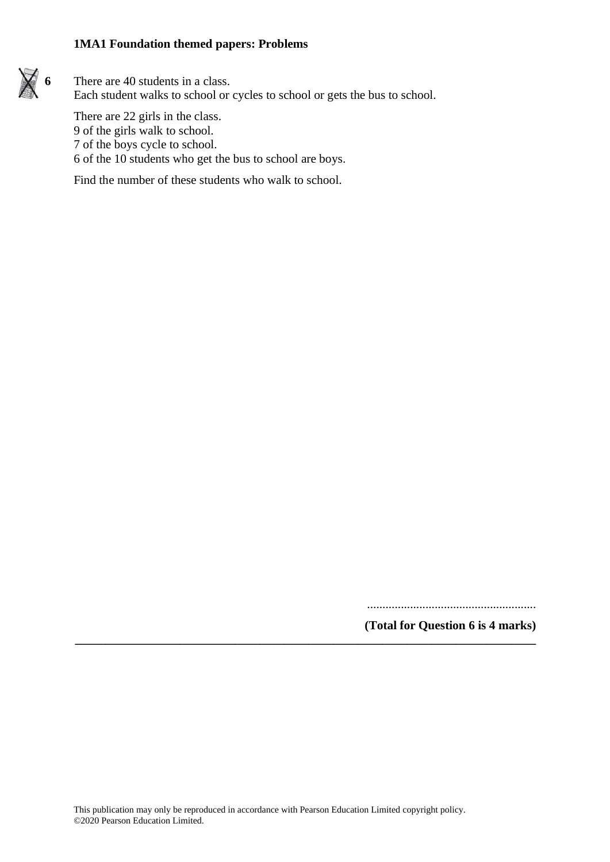

**6** There are 40 students in a class. Each student walks to school or cycles to school or gets the bus to school.

There are 22 girls in the class. 9 of the girls walk to school. 7 of the boys cycle to school. 6 of the 10 students who get the bus to school are boys.

Find the number of these students who walk to school.

.......................................................

**(Total for Question 6 is 4 marks)**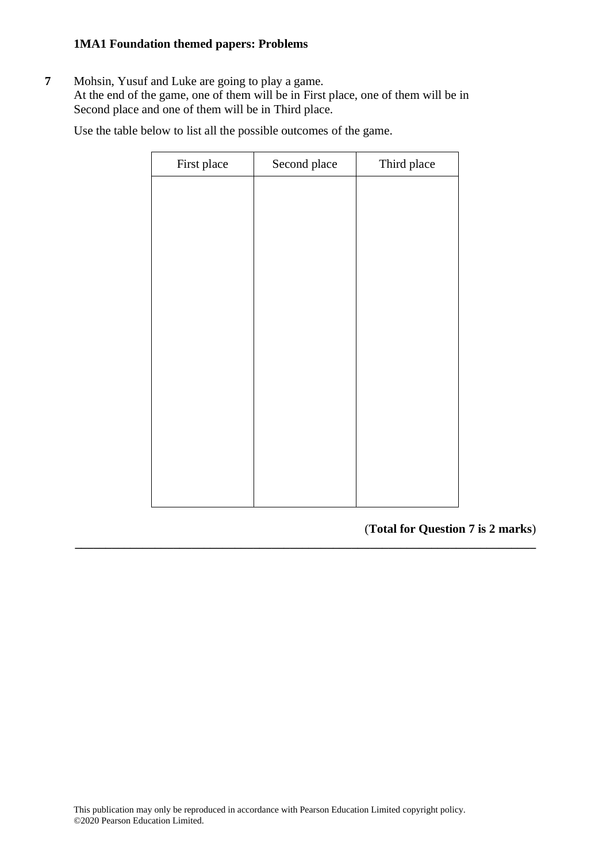**7** Mohsin, Yusuf and Luke are going to play a game. At the end of the game, one of them will be in First place, one of them will be in Second place and one of them will be in Third place.

Use the table below to list all the possible outcomes of the game.

| First place | Second place | Third place |
|-------------|--------------|-------------|
|             |              |             |
|             |              |             |
|             |              |             |
|             |              |             |
|             |              |             |
|             |              |             |
|             |              |             |
|             |              |             |
|             |              |             |
|             |              |             |
|             |              |             |
|             |              |             |
|             |              |             |

**\_\_\_\_\_\_\_\_\_\_\_\_\_\_\_\_\_\_\_\_\_\_\_\_\_\_\_\_\_\_\_\_\_\_\_\_\_\_\_\_\_\_\_\_\_\_\_\_\_\_\_\_\_\_\_\_\_\_\_\_\_\_\_\_\_\_\_\_\_\_\_\_\_\_\_**

(**Total for Question 7 is 2 marks**)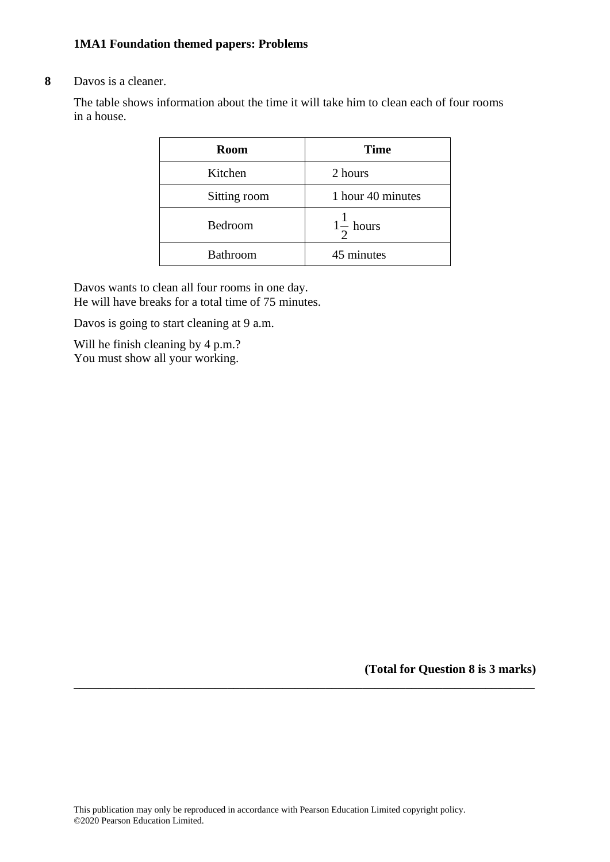#### **8** Davos is a cleaner.

The table shows information about the time it will take him to clean each of four rooms in a house.

| <b>Room</b>     | <b>Time</b>          |
|-----------------|----------------------|
| Kitchen         | 2 hours              |
| Sitting room    | 1 hour 40 minutes    |
| Bedroom         | $1\frac{1}{2}$ hours |
| <b>Bathroom</b> | 45 minutes           |

Davos wants to clean all four rooms in one day. He will have breaks for a total time of 75 minutes.

Davos is going to start cleaning at 9 a.m.

Will he finish cleaning by 4 p.m.? You must show all your working.

**(Total for Question 8 is 3 marks)**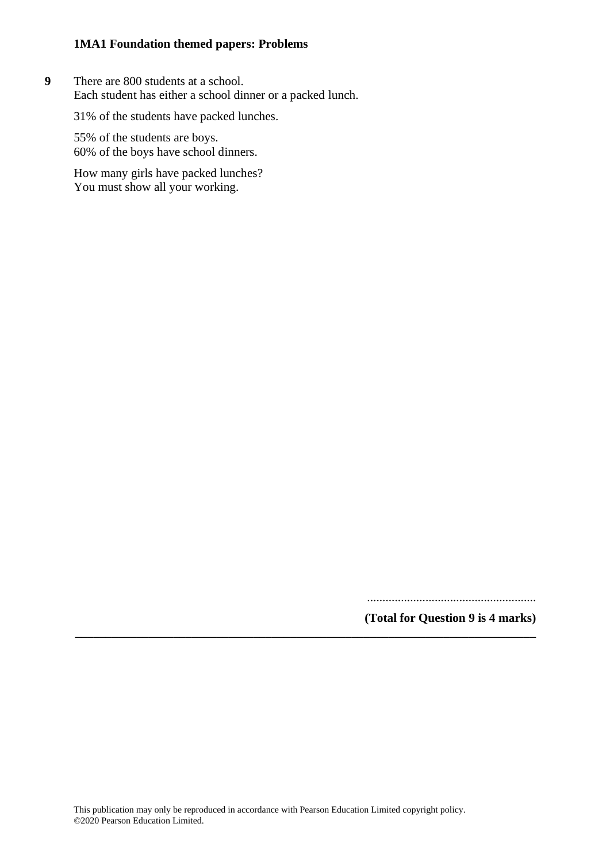**9** There are 800 students at a school. Each student has either a school dinner or a packed lunch.

31% of the students have packed lunches.

55% of the students are boys. 60% of the boys have school dinners.

How many girls have packed lunches? You must show all your working.

.......................................................

**(Total for Question 9 is 4 marks)**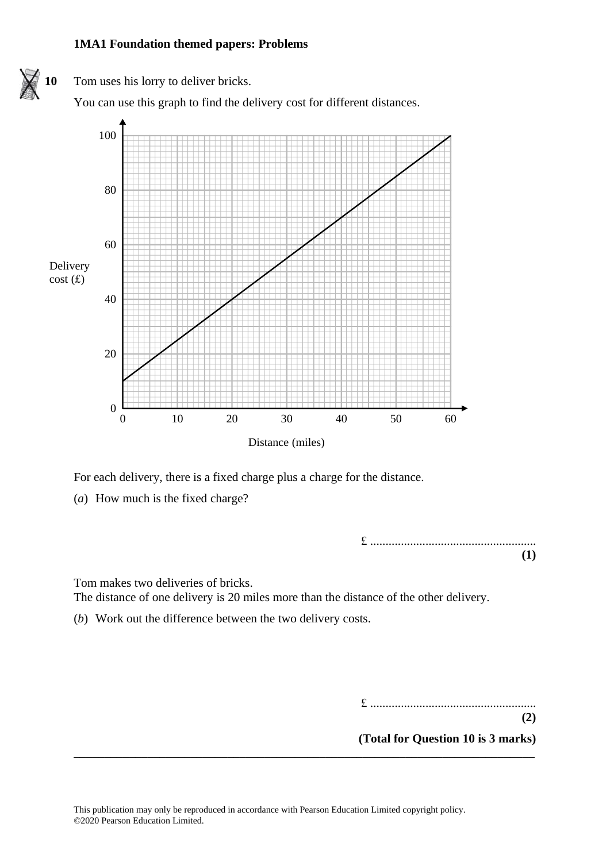

For each delivery, there is a fixed charge plus a charge for the distance. For each delivery, there is <sup>a</sup> fixed charge plus <sup>a</sup> charge for the distance.

(*a*) How much is the fixed charge? (a) How much is the fixed charge?

£ ...................................................... **(1) (1)**

Tom makes two deliveries of bricks. The distance of one delivery is 20 miles more than the distance of the other delivery.

(*b*) Work out the difference between the two delivery costs.

£ ......................................................  $(2)$ 

**(2)**

**(Total for Question 10 is 3 marks) (2)**

**(Total for Question 12 is 3 marks)**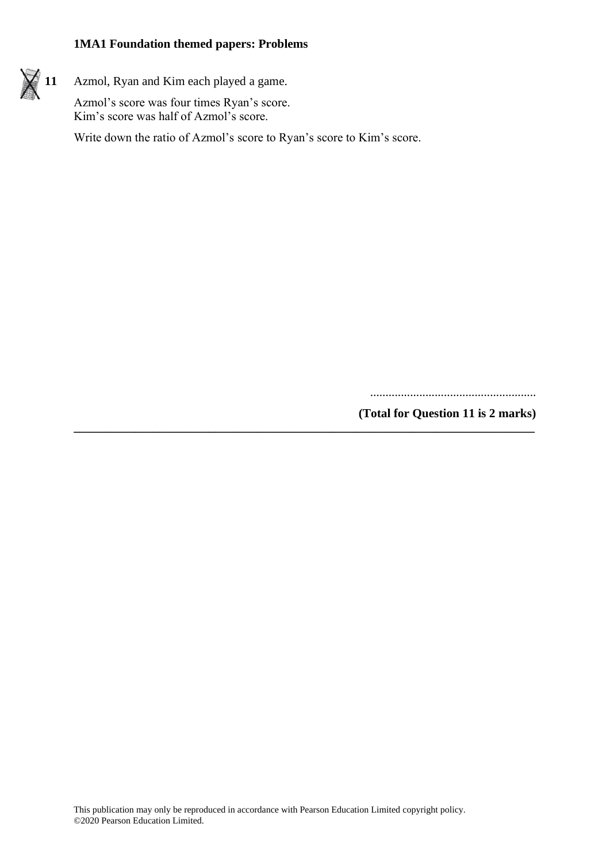$\neq$  11 Azmol, Ryan and Kim each played a game.

Azmol's score was four times Ryan's score. Kim's score was half of Azmol's score.

Write down the ratio of Azmol's score to Ryan's score to Kim's score.

......................................................

**(Total for Question 11 is 2 marks)**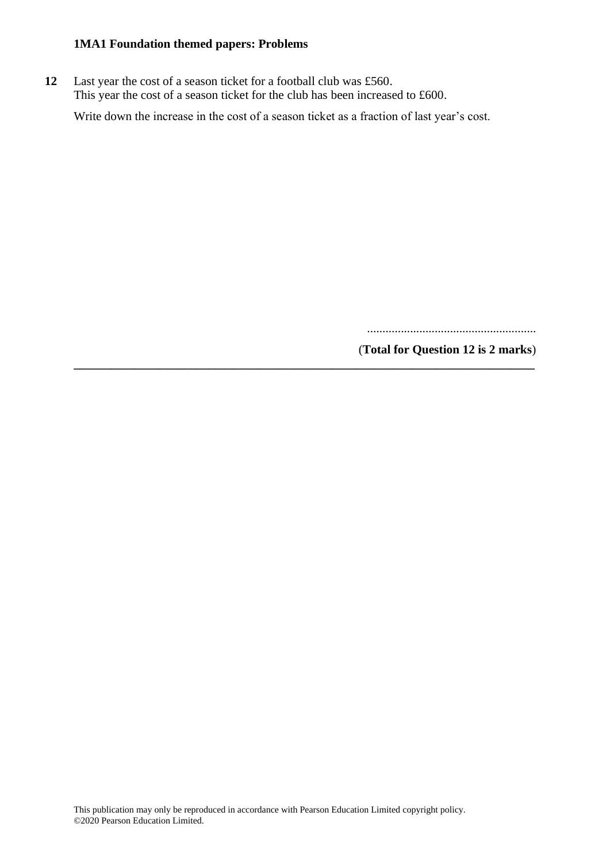**12** Last year the cost of a season ticket for a football club was £560. This year the cost of a season ticket for the club has been increased to £600.

Write down the increase in the cost of a season ticket as a fraction of last year's cost.

**\_\_\_\_\_\_\_\_\_\_\_\_\_\_\_\_\_\_\_\_\_\_\_\_\_\_\_\_\_\_\_\_\_\_\_\_\_\_\_\_\_\_\_\_\_\_\_\_\_\_\_\_\_\_\_\_\_\_\_\_\_\_\_\_\_\_\_\_\_\_\_\_\_\_\_**

.......................................................

(**Total for Question 12 is 2 marks**)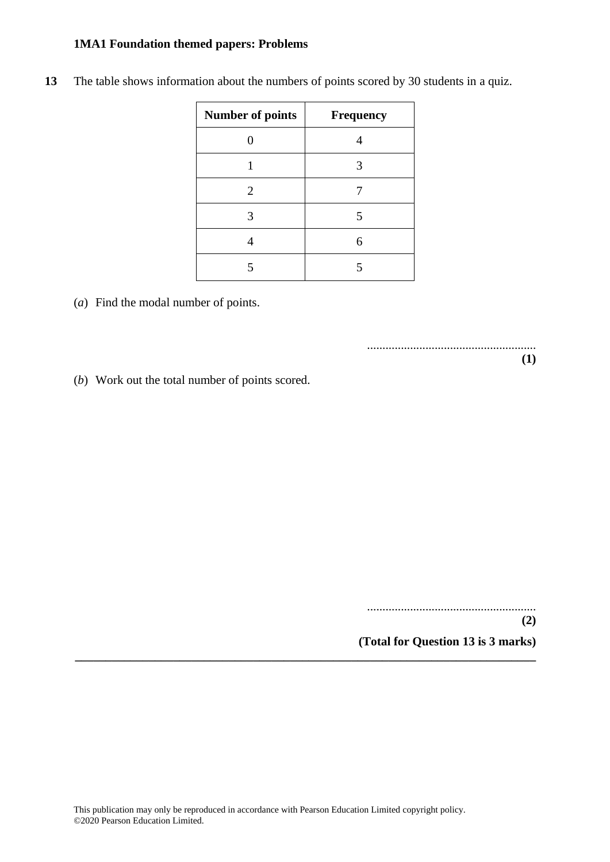| <b>Number of points</b> | Frequency |
|-------------------------|-----------|
|                         |           |
|                         | 3         |
| 2                       |           |
| 3                       | 5         |
|                         | 6         |
|                         |           |

**13** The table shows information about the numbers of points scored by 30 students in a quiz.

(*a*) Find the modal number of points.

(*b*) Work out the total number of points scored.

.......................................................

.......................................................

**(2)**

**(1)**

**(Total for Question 13 is 3 marks)**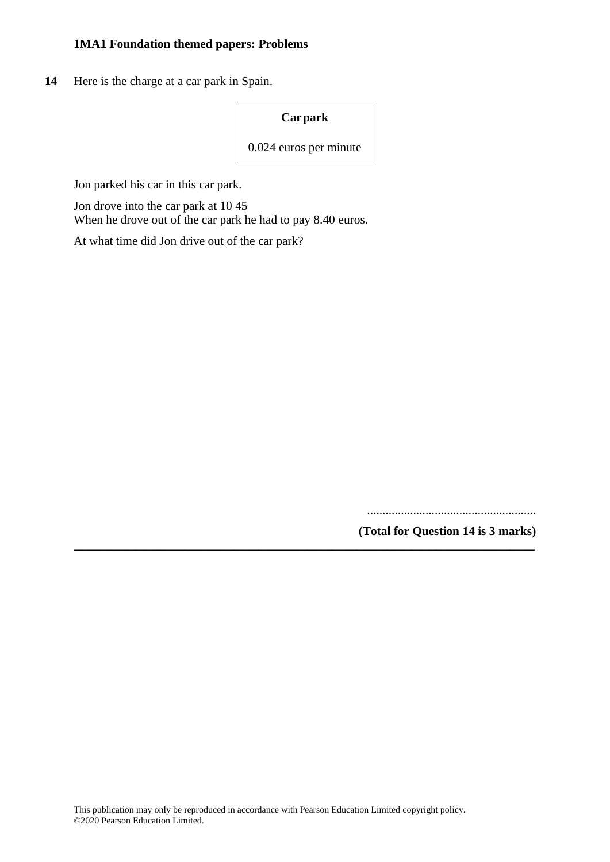**14** Here is the charge at a car park in Spain.

**Carpark**

0.024 euros per minute

**\_\_\_\_\_\_\_\_\_\_\_\_\_\_\_\_\_\_\_\_\_\_\_\_\_\_\_\_\_\_\_\_\_\_\_\_\_\_\_\_\_\_\_\_\_\_\_\_\_\_\_\_\_\_\_\_\_\_\_\_\_\_\_\_\_\_\_\_\_\_\_\_\_\_\_**

Jon parked his car in this car park.

Jon drove into the car park at 10 45 When he drove out of the car park he had to pay 8.40 euros.

At what time did Jon drive out of the car park?

.......................................................

**(Total for Question 14 is 3 marks)**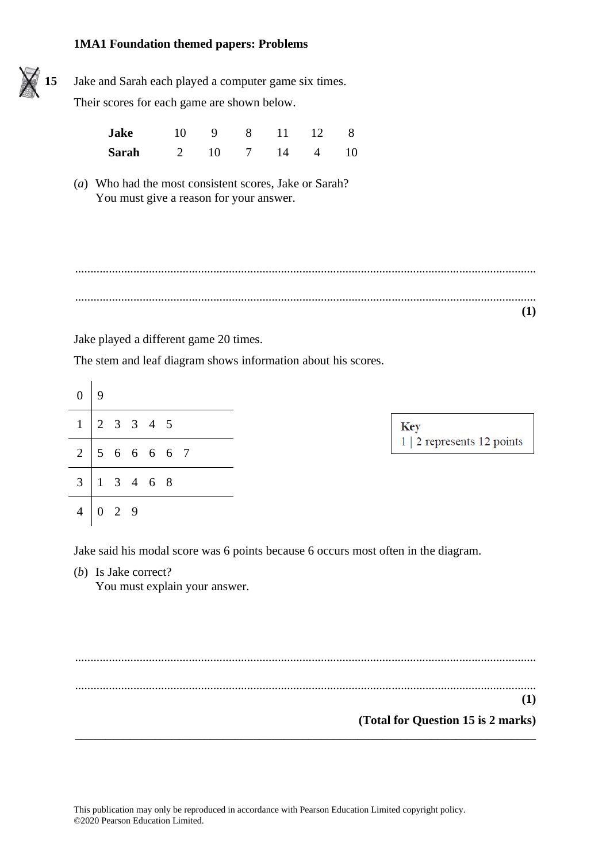

**15** Jake and Sarah each played a computer game six times.

Their scores for each game are shown below.

| Jake  |                |  | 10 9 8 11 12 8 |  |
|-------|----------------|--|----------------|--|
| Sarah | 2 10 7 14 4 10 |  |                |  |

(*a*) Who had the most consistent scores, Jake or Sarah? You must give a reason for your answer.

...................................................................................................................................................... ......................................................................................................................................................

**(1)**

Jake played a different game 20 times.

The stem and leaf diagram shows information about his scores.

| $\boldsymbol{0}$ | 9                                          |
|------------------|--------------------------------------------|
|                  | $2 \t3 \t3 \t4 \t5$                        |
|                  | $2 \mid 5 \mid 6 \mid 6 \mid 6 \mid 7$     |
|                  | $3 \mid 1 \quad 3 \quad 4 \quad 6 \quad 8$ |
| $\overline{4}$   | 2 9                                        |

Jake said his modal score was 6 points because 6 occurs most often in the diagram.

(*b*) Is Jake correct?

You must explain your answer.

...................................................................................................................................................... ...................................................................................................................................................... **(1) (Total for Question 15 is 2 marks) \_\_\_\_\_\_\_\_\_\_\_\_\_\_\_\_\_\_\_\_\_\_\_\_\_\_\_\_\_\_\_\_\_\_\_\_\_\_\_\_\_\_\_\_\_\_\_\_\_\_\_\_\_\_\_\_\_\_\_\_\_\_\_\_\_\_\_\_\_\_\_\_\_\_\_**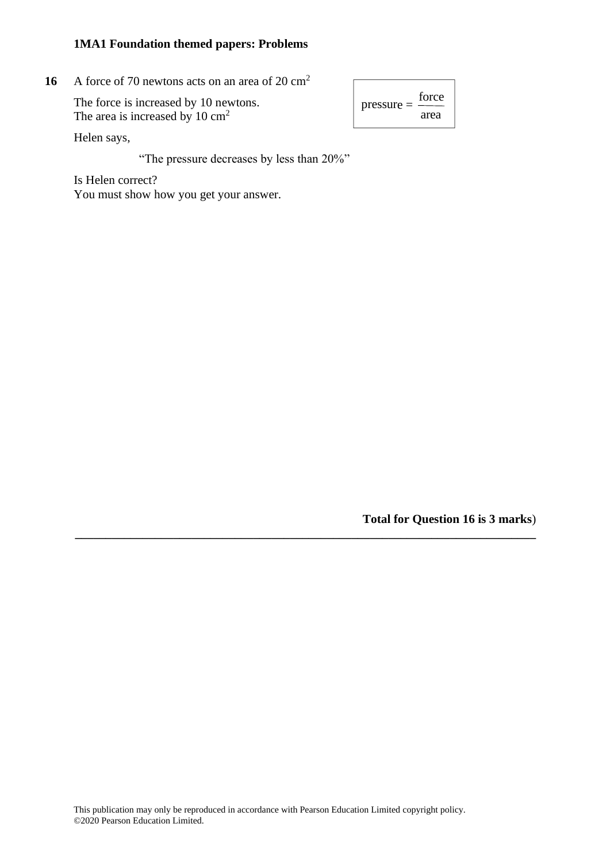**16** A force of 70 newtons acts on an area of 20  $\text{cm}^2$ 16

> The force is increased by 10 newtons. The force is increased by 10 cm<sup>2</sup> Pressure  $-\frac{1}{\text{area}}$ The area is increased by 10 cm<sup>2</sup>

 $pressure =$ force

Helen says, Helen says,

"The pressure decreases by less than 20%" "The pressure decreases by less than 20%"

Is Helen correct? You must show how you get your answer. You must show how you get your answer.

**Total for Question 16 is 3 marks**)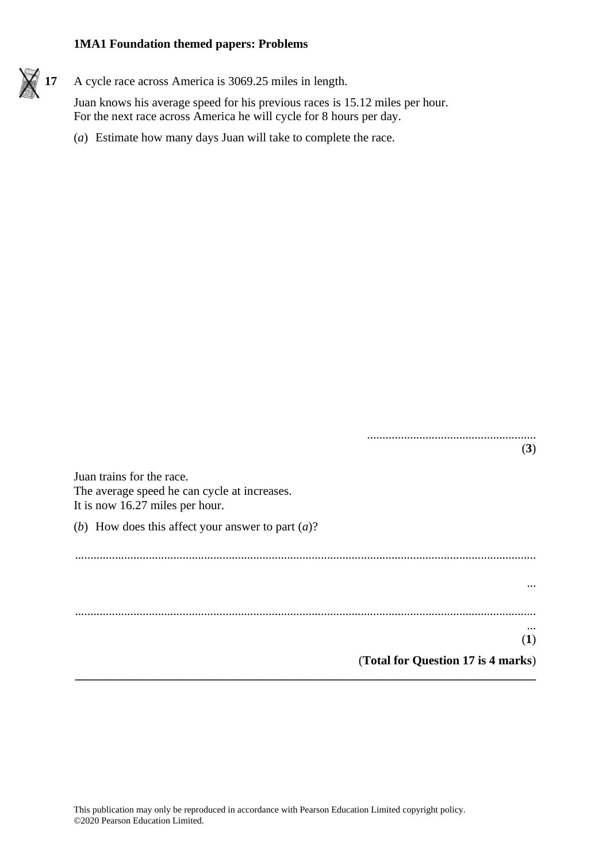

Juan knows his average speed for his previous races is 15.12 miles per hour. For the next race across America he will cycle for 8 hours per day.

(*a*) Estimate how many days Juan will take to complete the race.

....................................................... (**3**) Juan trains for the race. The average speed he can cycle at increases. It is now 16.27 miles per hour. (*b*) How does this affect your answer to part (*a*)? ...................................................................................................................................................... ... ...................................................................................................................................................... ... (**1**) (**Total for Question 17 is 4 marks**) **\_\_\_\_\_\_\_\_\_\_\_\_\_\_\_\_\_\_\_\_\_\_\_\_\_\_\_\_\_\_\_\_\_\_\_\_\_\_\_\_\_\_\_\_\_\_\_\_\_\_\_\_\_\_\_\_\_\_\_\_\_\_\_\_\_\_\_\_\_\_\_\_\_\_\_**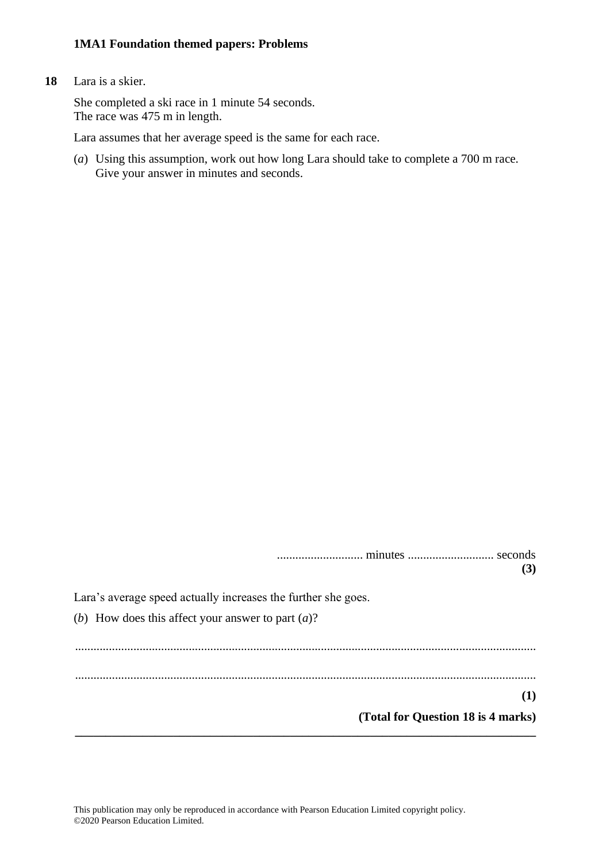#### **18** Lara is a skier.

She completed a ski race in 1 minute 54 seconds. The race was 475 m in length.

Lara assumes that her average speed is the same for each race.

(*a*) Using this assumption, work out how long Lara should take to complete a 700 m race. Give your answer in minutes and seconds.

............................ minutes ............................ seconds **(3)** Lara's average speed actually increases the further she goes. (*b*) How does this affect your answer to part (*a*)? ...................................................................................................................................................... ...................................................................................................................................................... **(1) (Total for Question 18 is 4 marks) \_\_\_\_\_\_\_\_\_\_\_\_\_\_\_\_\_\_\_\_\_\_\_\_\_\_\_\_\_\_\_\_\_\_\_\_\_\_\_\_\_\_\_\_\_\_\_\_\_\_\_\_\_\_\_\_\_\_\_\_\_\_\_\_\_\_\_\_\_\_\_\_\_\_\_**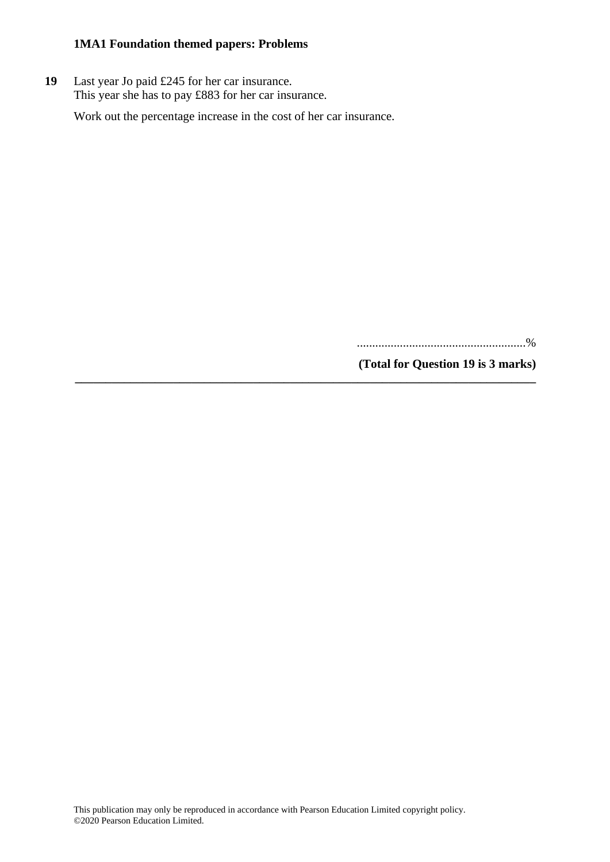**19** Last year Jo paid £245 for her car insurance. This year she has to pay £883 for her car insurance.

Work out the percentage increase in the cost of her car insurance.

**\_\_\_\_\_\_\_\_\_\_\_\_\_\_\_\_\_\_\_\_\_\_\_\_\_\_\_\_\_\_\_\_\_\_\_\_\_\_\_\_\_\_\_\_\_\_\_\_\_\_\_\_\_\_\_\_\_\_\_\_\_\_\_\_\_\_\_\_\_\_\_\_\_\_\_**

.......................................................%

**(Total for Question 19 is 3 marks)**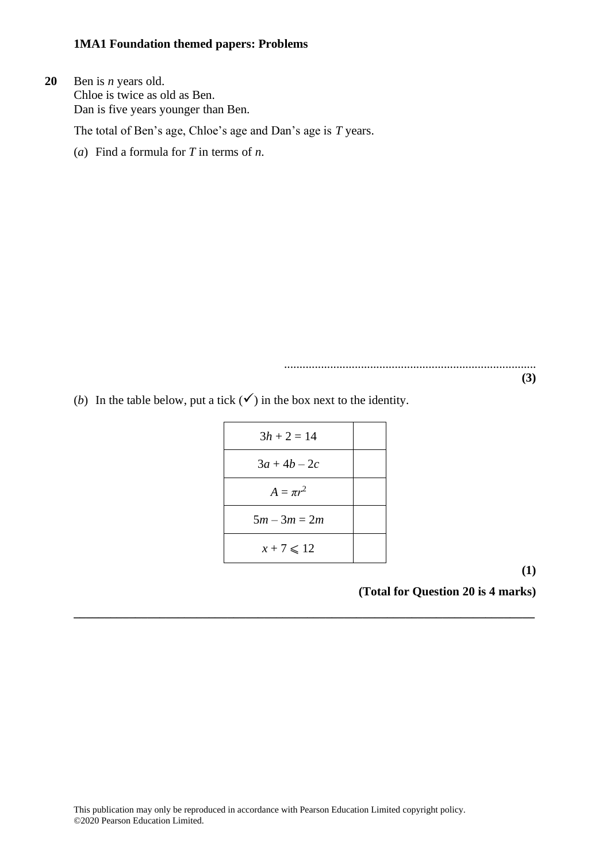**20** Ben is *n* years old. Chloe is twice as old as Ben. Dan is five years younger than Ben.

The total of Ben's age, Chloe's age and Dan's age is *T* years.

(*a*) Find a formula for *T* in terms of *n*.

..................................................................................

**(3)**

(*b*) In the table below, put a tick  $(\checkmark)$  in the box next to the identity.

| $3h + 2 = 14$        |  |
|----------------------|--|
| $3a + 4b - 2c$       |  |
| $A = \pi r^2$        |  |
| $5m - 3m = 2m$       |  |
| $x + 7 \leqslant 12$ |  |

**\_\_\_\_\_\_\_\_\_\_\_\_\_\_\_\_\_\_\_\_\_\_\_\_\_\_\_\_\_\_\_\_\_\_\_\_\_\_\_\_\_\_\_\_\_\_\_\_\_\_\_\_\_\_\_\_\_\_\_\_\_\_\_\_\_\_\_\_\_\_\_\_\_\_\_**

**(1)**

**(Total for Question 20 is 4 marks)**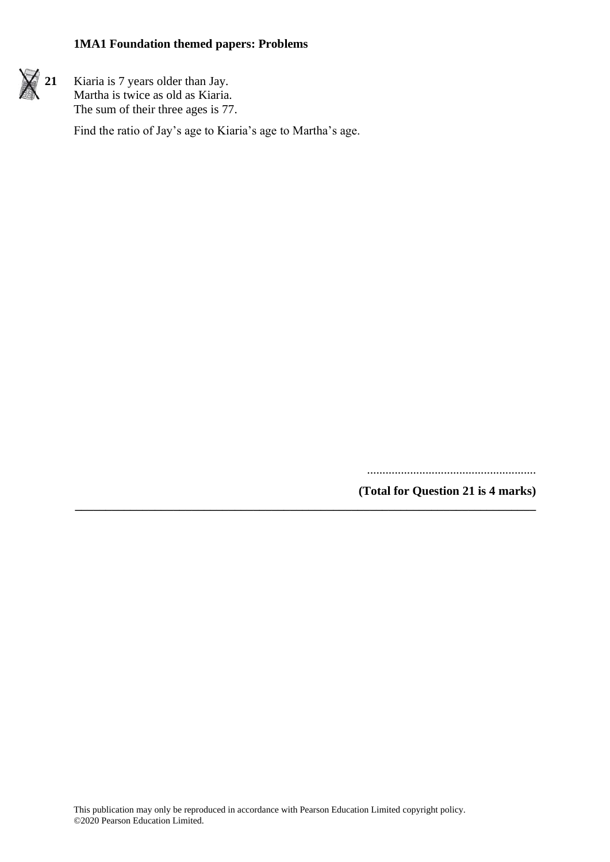

 $\angle$  **21** Kiaria is 7 years older than Jay. Martha is twice as old as Kiaria. The sum of their three ages is 77.

Find the ratio of Jay's age to Kiaria's age to Martha's age.

.......................................................

**(Total for Question 21 is 4 marks)**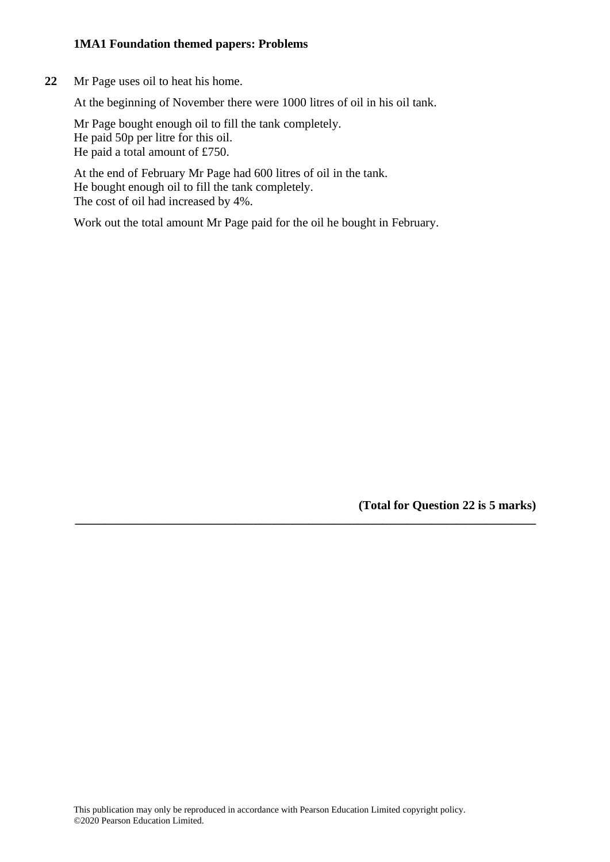**22** Mr Page uses oil to heat his home.

At the beginning of November there were 1000 litres of oil in his oil tank.

Mr Page bought enough oil to fill the tank completely. He paid 50p per litre for this oil. He paid a total amount of £750.

At the end of February Mr Page had 600 litres of oil in the tank. He bought enough oil to fill the tank completely. The cost of oil had increased by 4%.

Work out the total amount Mr Page paid for the oil he bought in February.

**(Total for Question 22 is 5 marks)**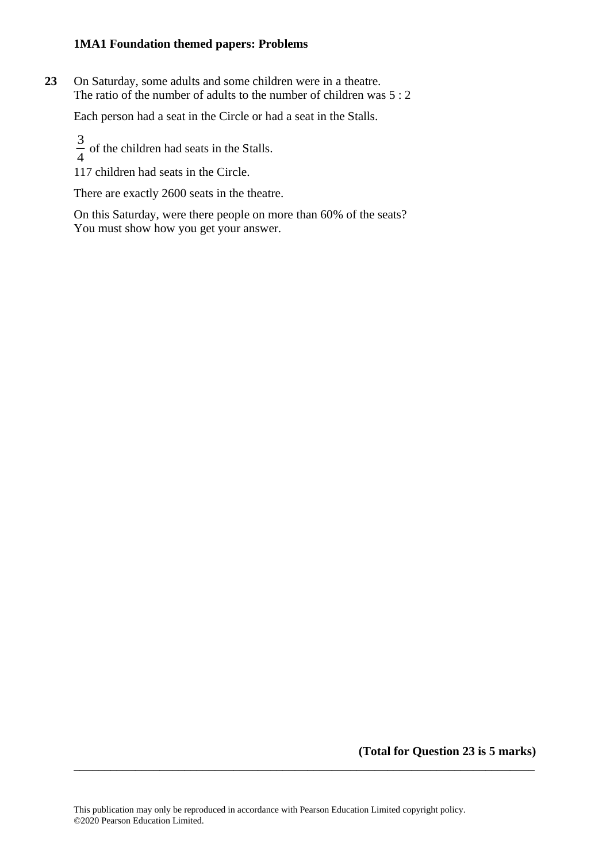**23** On Saturday, some adults and some children were in a theatre. The ratio of the number of adults to the number of children was 5 : 2

Each person had a seat in the Circle or had a seat in the Stalls.

3  $\frac{3}{4}$  of the children had seats in the Stalls.

117 children had seats in the Circle.

There are exactly 2600 seats in the theatre.

On this Saturday, were there people on more than 60% of the seats? You must show how you get your answer.

**(Total for Question 23 is 5 marks)**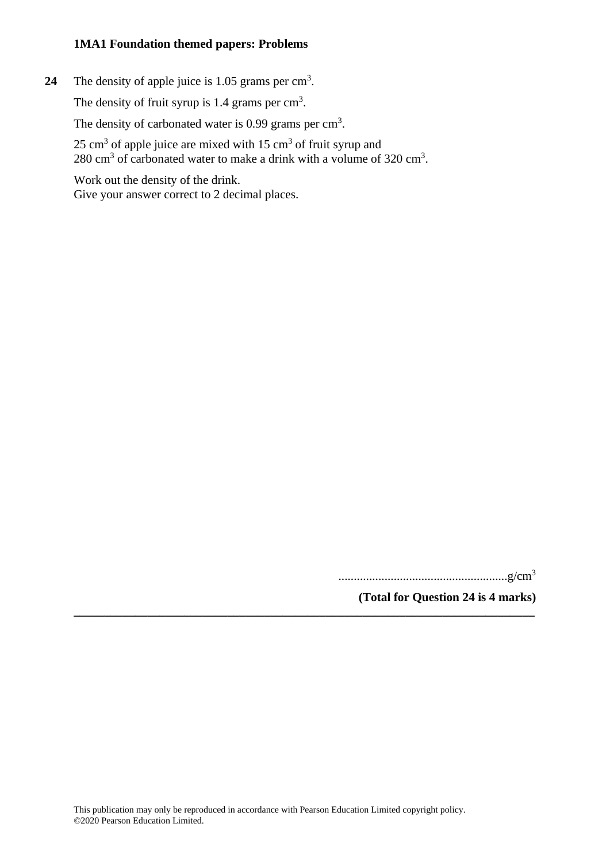24 The density of apple juice is 1.05 grams per cm<sup>3</sup>.

The density of fruit syrup is  $1.4$  grams per  $\text{cm}^3$ .

The density of carbonated water is  $0.99$  grams per cm<sup>3</sup>.

 $25 \text{ cm}^3$  of apple juice are mixed with  $15 \text{ cm}^3$  of fruit syrup and 280 cm<sup>3</sup> of carbonated water to make a drink with a volume of  $320 \text{ cm}^3$ .

Work out the density of the drink. Give your answer correct to 2 decimal places.

.......................................................g/cm<sup>3</sup>

**(Total for Question 24 is 4 marks) \_\_\_\_\_\_\_\_\_\_\_\_\_\_\_\_\_\_\_\_\_\_\_\_\_\_\_\_\_\_\_\_\_\_\_\_\_\_\_\_\_\_\_\_\_\_\_\_\_\_\_\_\_\_\_\_\_\_\_\_\_\_\_\_\_\_\_\_\_\_\_\_\_\_\_**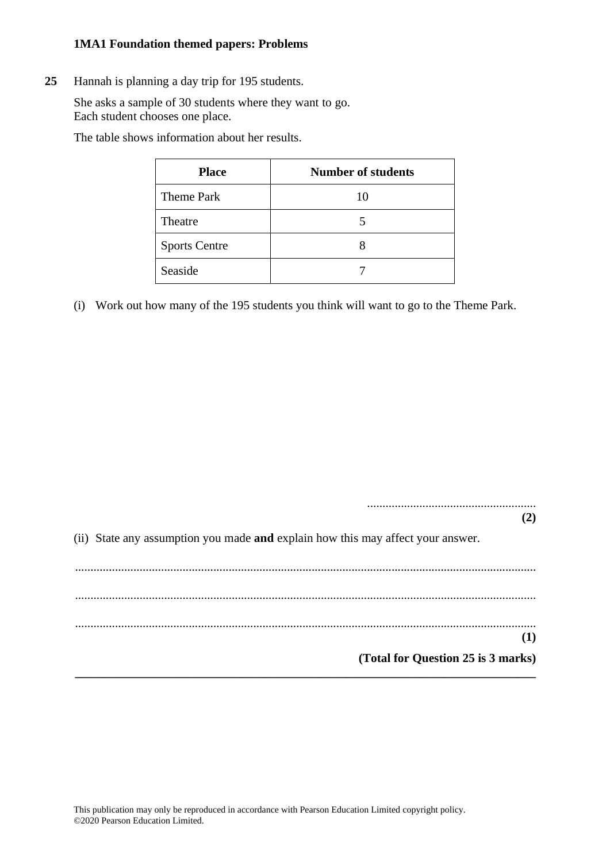**25** Hannah is planning a day trip for 195 students.

She asks a sample of 30 students where they want to go. Each student chooses one place.

The table shows information about her results.

| <b>Place</b>         | <b>Number of students</b> |
|----------------------|---------------------------|
| <b>Theme Park</b>    | 10                        |
| Theatre              | 5                         |
| <b>Sports Centre</b> |                           |
| Seaside              |                           |

(i) Work out how many of the 195 students you think will want to go to the Theme Park.

....................................................... **(2)**

(ii) State any assumption you made **and** explain how this may affect your answer.

...................................................................................................................................................... ...................................................................................................................................................... ...................................................................................................................................................... **(1) (Total for Question 25 is 3 marks) \_\_\_\_\_\_\_\_\_\_\_\_\_\_\_\_\_\_\_\_\_\_\_\_\_\_\_\_\_\_\_\_\_\_\_\_\_\_\_\_\_\_\_\_\_\_\_\_\_\_\_\_\_\_\_\_\_\_\_\_\_\_\_\_\_\_\_\_\_\_\_\_\_\_\_**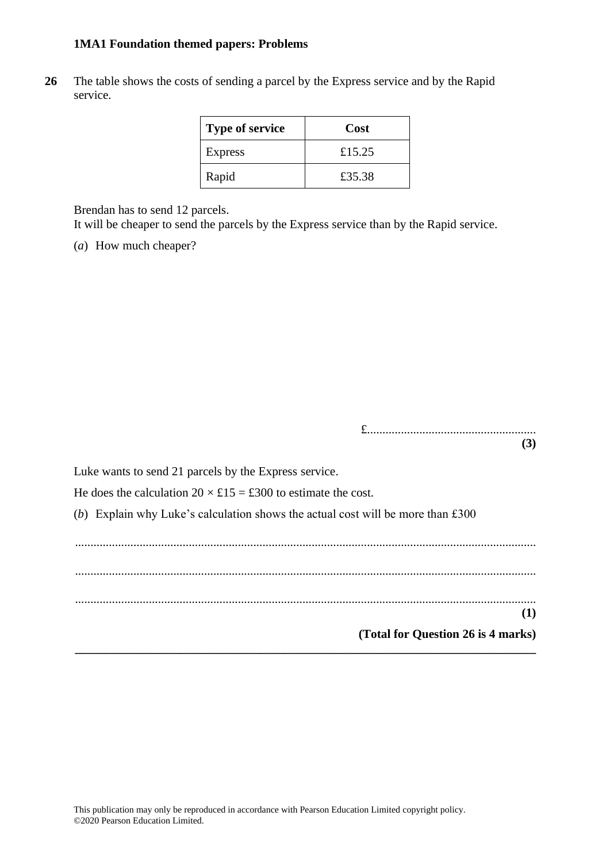**26** The table shows the costs of sending a parcel by the Express service and by the Rapid service.

| <b>Type of service</b> | Cost   |
|------------------------|--------|
| Express                | £15.25 |
| Rapid                  | £35.38 |

Brendan has to send 12 parcels.

It will be cheaper to send the parcels by the Express service than by the Rapid service.

(*a*) How much cheaper?

£....................................................... **(3)**

Luke wants to send 21 parcels by the Express service.

He does the calculation  $20 \times £15 = £300$  to estimate the cost.

(*b*) Explain why Luke's calculation shows the actual cost will be more than £300

...................................................................................................................................................... ...................................................................................................................................................... ...................................................................................................................................................... **(1) (Total for Question 26 is 4 marks)**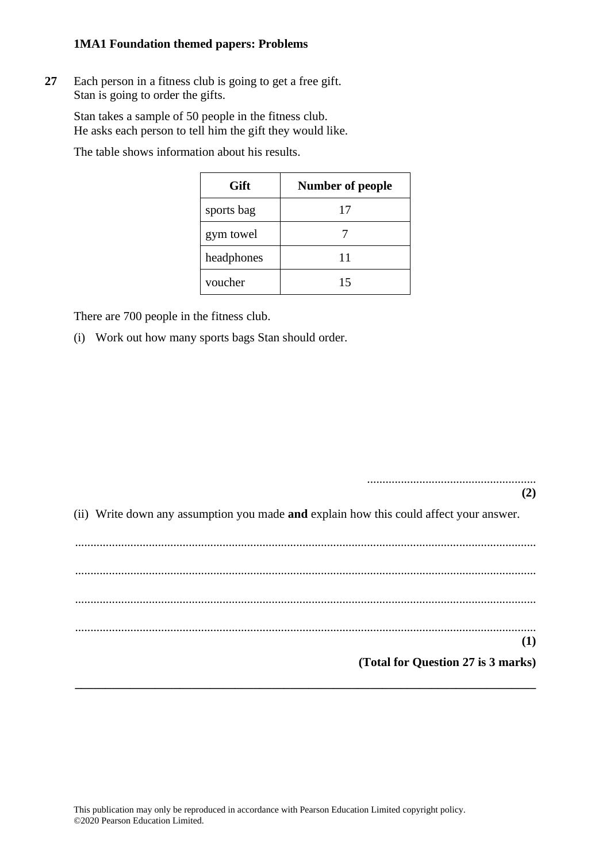**27** Each person in a fitness club is going to get a free gift. Stan is going to order the gifts.

Stan takes a sample of 50 people in the fitness club. He asks each person to tell him the gift they would like.

The table shows information about his results.

| Gift       | <b>Number of people</b> |
|------------|-------------------------|
| sports bag | 17                      |
| gym towel  |                         |
| headphones | 11                      |
| voucher    | 15                      |

There are 700 people in the fitness club.

(i) Work out how many sports bags Stan should order.

(ii) Write down any assumption you made **and** explain how this could affect your answer.

.......................................................

**(2)**

...................................................................................................................................................... ...................................................................................................................................................... ...................................................................................................................................................... ...................................................................................................................................................... **(1) (Total for Question 27 is 3 marks) \_\_\_\_\_\_\_\_\_\_\_\_\_\_\_\_\_\_\_\_\_\_\_\_\_\_\_\_\_\_\_\_\_\_\_\_\_\_\_\_\_\_\_\_\_\_\_\_\_\_\_\_\_\_\_\_\_\_\_\_\_\_\_\_\_\_\_\_\_\_\_\_\_\_\_**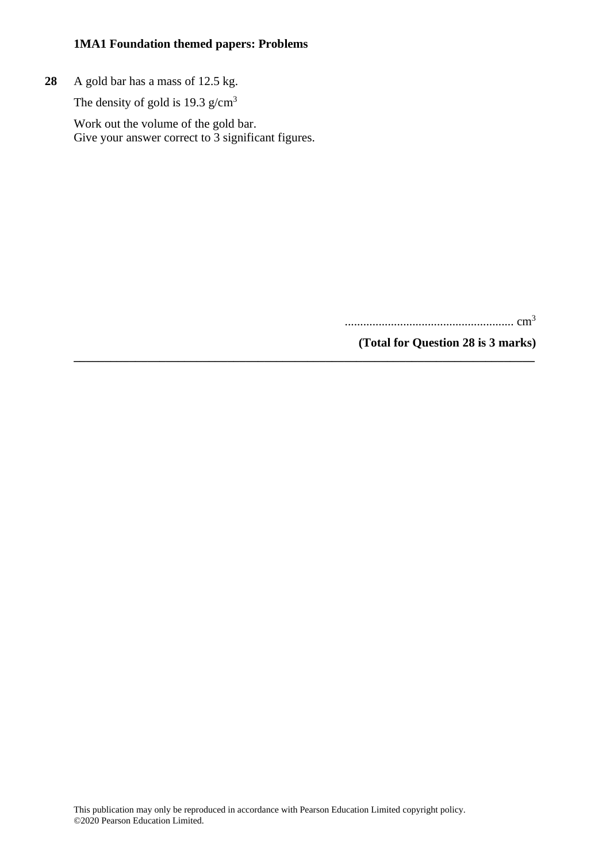**28** A gold bar has a mass of 12.5 kg.

The density of gold is  $19.3$  g/cm<sup>3</sup>

Work out the volume of the gold bar. Give your answer correct to 3 significant figures.

....................................................... cm<sup>3</sup>

**(Total for Question 28 is 3 marks)**